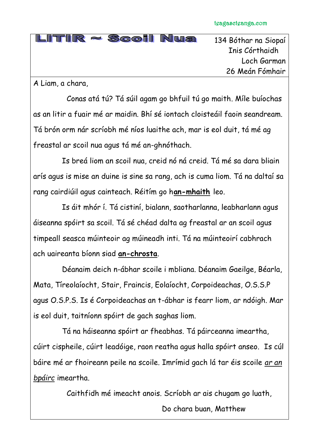| $LITIR \approx S$ coil Nua |
|----------------------------|
|                            |
|                            |
|                            |

134 Bóthar na Siopaí Inis Córthaidh Loch Garman 26 Meán Fómhair

A Liam, a chara,

Conas atá tú? Tá súil agam go bhfuil tú go maith. Míle buíochas as an litir a fuair mé ar maidin. Bhí sé iontach cloisteáil faoin seandream. Tá brón orm nár scríobh mé níos luaithe ach, mar is eol duit, tá mé ag freastal ar scoil nua agus tá mé an-ghnóthach.

Is breá liom an scoil nua, creid nó ná creid. Tá mé sa dara bliain arís agus is mise an duine is sine sa rang, ach is cuma liom. Tá na daltaí sa rang cairdiúil agus cainteach. Réitím go h**an-mhaith** leo.

Is áit mhór í. Tá cistiní, bialann, saotharlanna, leabharlann agus áiseanna spóirt sa scoil. Tá sé chéad dalta ag freastal ar an scoil agus timpeall seasca múinteoir ag múineadh inti. Tá na múinteoirí cabhrach ach uaireanta bíonn siad **an-chrosta**.

Déanaim deich n-ábhar scoile i mbliana. Déanaim Gaeilge, Béarla, Mata, Tíreolaíocht, Stair, Fraincis, Eolaíocht, Corpoideachas, O.S.S.P agus O.S.P.S. Is é Corpoideachas an t-ábhar is fearr liom, ar ndóigh. Mar is eol duit, taitníonn spóirt de gach saghas liom.

Tá na háiseanna spóirt ar fheabhas. Tá páirceanna imeartha, cúirt cispheile, cúirt leadóige, raon reatha agus halla spóirt anseo. Is cúl báire mé ar fhoireann peile na scoile. Imrímid gach lá tar éis scoile *ar an bpáirc* imeartha.

Caithfidh mé imeacht anois. Scríobh ar ais chugam go luath,

Do chara buan, Matthew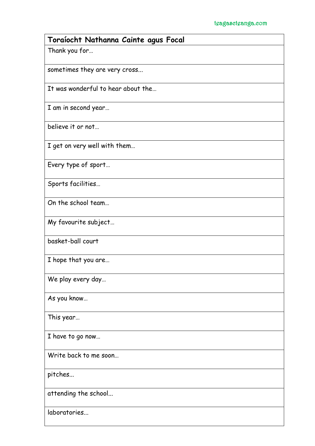| Toraíocht Nathanna Cainte agus Focal |
|--------------------------------------|
| Thank you for                        |
| sometimes they are very cross        |
| It was wonderful to hear about the   |
| I am in second year                  |
| believe it or not                    |
| I get on very well with them         |
| Every type of sport                  |
| Sports facilities                    |
| On the school team                   |
| My favourite subject                 |
| basket-ball court                    |
| I hope that you are                  |
| We play every day                    |
| As you know                          |
| This year                            |
| I have to go now                     |
| Write back to me soon                |
| pitches                              |
| attending the school                 |
| laboratories                         |